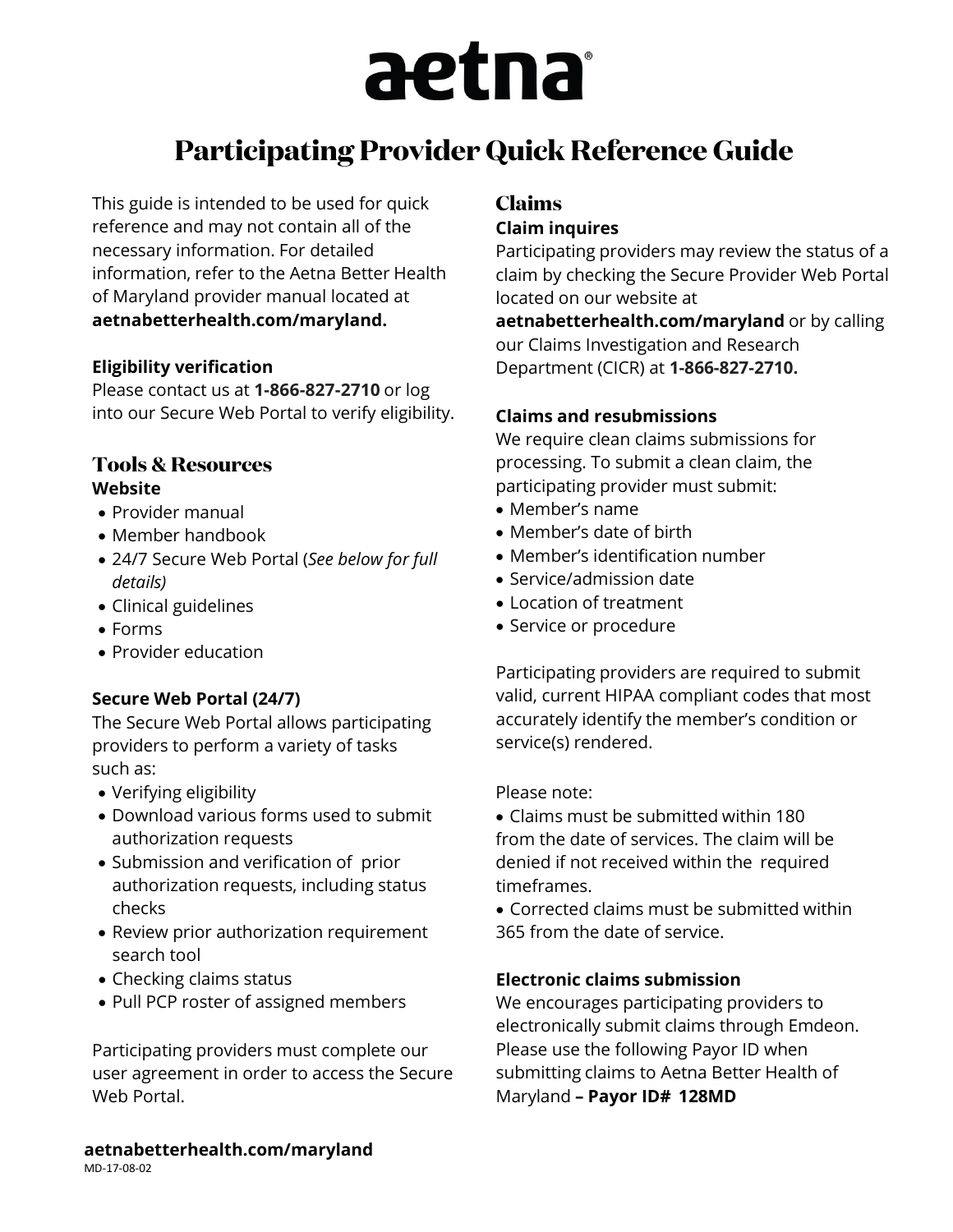# aetna

# **Participating Provider Quick Reference Guide**

This guide is intended to be used for quick reference and may not contain all of the necessary information. For detailed information, refer to the Aetna Better Health of Maryland provider manual located a[t](http://www.aetnabetterhealth.com/Nevada) **[aetnabetterhealth.com/maryland.](http://www.aetnabetterhealth.com/Nevada)**

#### **Eligibility verification**

Please contact us at **1-866-827-2710** or log into our Secure Web Portal to verify eligibility.

#### **Tools & Resources Website**

- Provider manual
- Member handbook
- 24/7 Secure Web Portal (*See below for full details)*
- Clinical guidelines
- Forms
- Provider education

#### **Secure Web Portal (24/7)**

The Secure Web Portal allows participating providers to perform a variety of tasks such as:

- Verifying eligibility
- Download various forms used to submit authorization requests
- Submission and verification of prior authorization requests, including status checks
- Review prior authorization requirement search tool
- Checking claims status
- Pull PCP roster of assigned members

Participating providers must complete our user agreement in order to access the Secure Web Portal.

# **Claims**

#### **Claim inquires**

Participating providers may review the status of a claim by checking the Secure Provider Web Portal located on our website a[t](http://www.aetnabetterhealth.com/Nevada)

**[aetnabetterhealth.com/maryland](http://www.aetnabetterhealth.com/Nevada)** or by calling our Claims Investigation and Research Department (CICR) at **1-866-827-2710.**

#### **Claims and resubmissions**

We require clean claims submissions for processing. To submit a clean claim, the participating provider must submit:

- Member's name
- Member's date of birth
- Member's identification number
- Service/admission date
- Location of treatment
- Service or procedure

Participating providers are required to submit valid, current HIPAA compliant codes that most accurately identify the member's condition or service(s) rendered.

Please note:

• Claims must be submitted within 180 from the date of services. The claim will be denied if not received within the required timeframes.

• Corrected claims must be submitted within 365 from the date of service.

#### **Electronic claims submission**

We encourages participating providers to electronically submit claims through Emdeon. Please use the following Payor ID when submitting claims to Aetna Better Health of Maryland **– Payor ID# 128MD**

**aetnabetterhealth.com/maryland** MD-17-08-02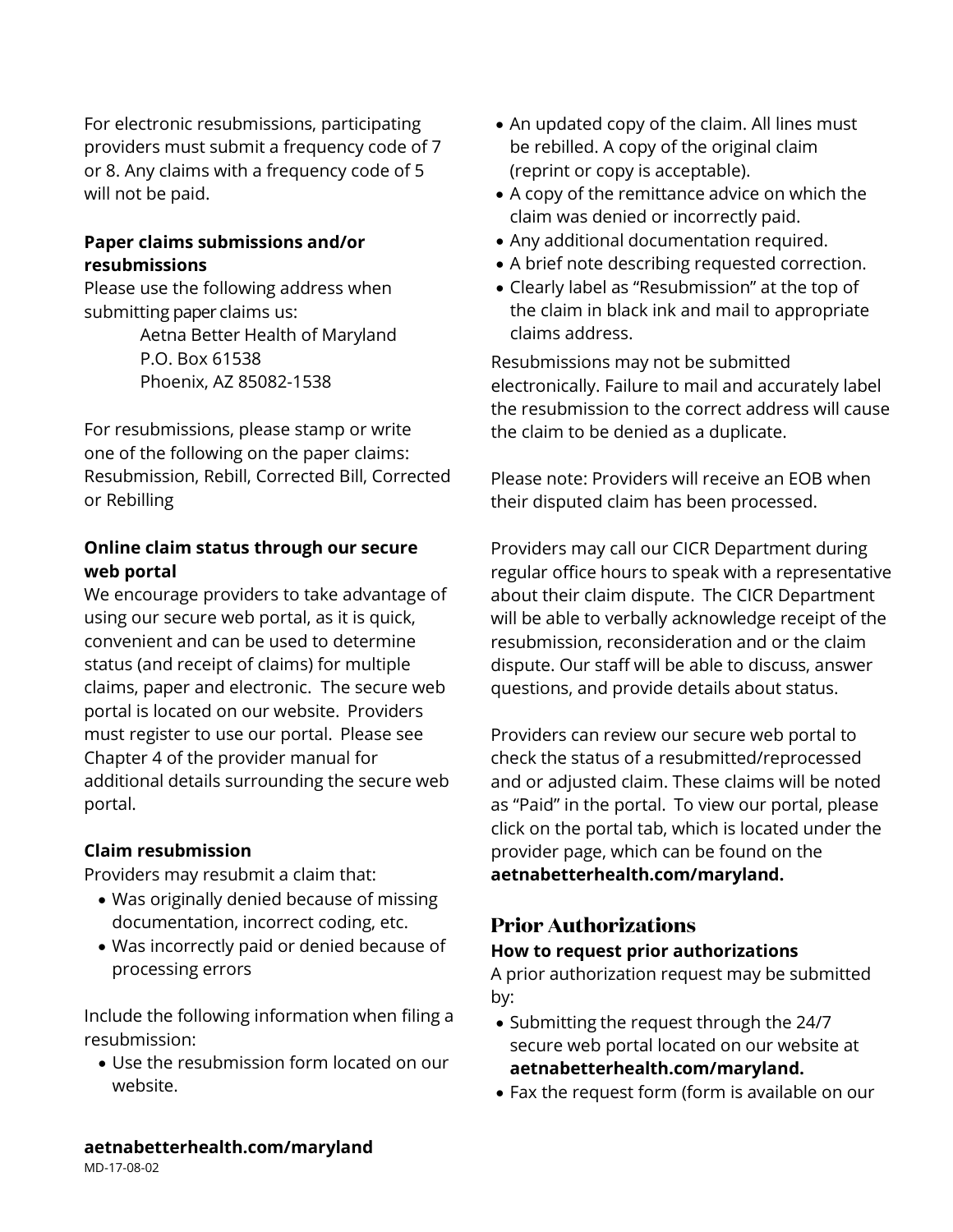For electronic resubmissions, participating providers must submit a frequency code of 7 or 8. Any claims with a frequency code of 5 will not be paid.

#### **Paper claims submissions and/or resubmissions**

Please use the following address when submitting paper claims us: Aetna Better Health of Maryland P.O. Box 61538 Phoenix, AZ 85082-1538

For resubmissions, please stamp or write one of the following on the paper claims: Resubmission, Rebill, Corrected Bill, Corrected or Rebilling

#### **Online claim status through our secure web portal**

We encourage providers to take advantage of using our secure web portal, as it is quick, convenient and can be used to determine status (and receipt of claims) for multiple claims, paper and electronic. The secure web portal is located on our website. Providers must register to use our portal. Please see Chapter 4 of the provider manual for additional details surrounding the secure web portal.

#### **Claim resubmission**

Providers may resubmit a claim that:

- Was originally denied because of missing documentation, incorrect coding, etc.
- Was incorrectly paid or denied because of processing errors

Include the following information when filing a resubmission:

• Use the resubmission form located on our website.

- An updated copy of the claim. All lines must be rebilled. A copy of the original claim (reprint or copy is acceptable).
- A copy of the remittance advice on which the claim was denied or incorrectly paid.
- Any additional documentation required.
- A brief note describing requested correction.
- Clearly label as "Resubmission" at the top of the claim in black ink and mail to appropriate claims address.

Resubmissions may not be submitted electronically. Failure to mail and accurately label the resubmission to the correct address will cause the claim to be denied as a duplicate.

Please note: Providers will receive an EOB when their disputed claim has been processed.

Providers may call our CICR Department during regular office hours to speak with a representative about their claim dispute. The CICR Department will be able to verbally acknowledge receipt of the resubmission, reconsideration and or the claim dispute. Our staff will be able to discuss, answer questions, and provide details about status.

Providers can review our secure web portal to check the status of a resubmitted/reprocessed and or adjusted claim. These claims will be noted as "Paid" in the portal. To view our portal, please click on the portal tab, which is located under the provider page, which can be found on the **[aetnabetterhealth.com/maryland.](http://www.aetnabetterhealth.com/Nevada)**

### **Prior Authorizations**

#### **How to request prior authorizations**

A prior authorization request may be submitted by:

- Submitting the request through the 24/7 secure web portal located on our website at **[aetnabetterhealth.com/maryland.](http://www.aetnabetterhealth.com/Nevada)**
- Fax the request form (form is available on our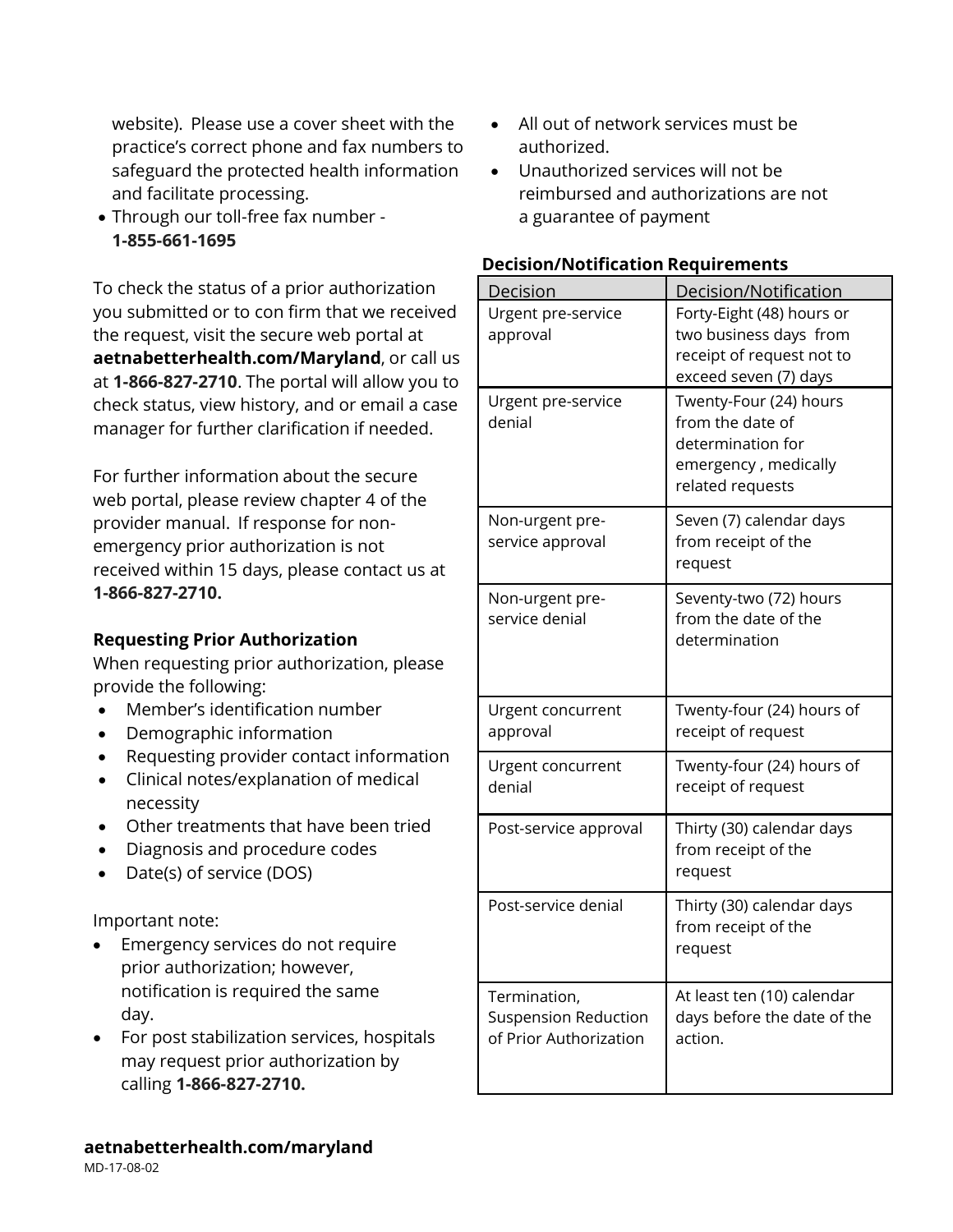website). Please use a cover sheet with the practice's correct phone and fax numbers to safeguard the protected health information and facilitate processing.

• Through our toll-free fax number - **1-855-661-1695**

To check the status of a prior authorization you submitted or to con firm that we received the request, visit the secure web portal at **[aetnabetterhealth.com/Maryland](http://www.aetnabetterhealth.com/Nevada)**, or call us at **1-866-827-2710**. The portal will allow you to check status, view history, and or email a case manager for further clarification if needed.

For further information about the secure web portal, please review chapter 4 of the provider manual. If response for nonemergency prior authorization is not received within 15 days, please contact us at **1-866-827-2710.**

#### **Requesting Prior Authorization**

When requesting prior authorization, please provide the following:

- Member's identification number
- Demographic information
- Requesting provider contact information
- Clinical notes/explanation of medical necessity
- Other treatments that have been tried
- Diagnosis and procedure codes
- Date(s) of service (DOS)

Important note:

- Emergency services do not require prior authorization; however, notification is required the same day.
- For post stabilization services, hospitals may request prior authorization by calling **1-866-827-2710.**
- All out of network services must be authorized.
- Unauthorized services will not be reimbursed and authorizations are not a guarantee of payment

| <b>Decision/Notification Requirements</b> |  |
|-------------------------------------------|--|
|                                           |  |

| Decision                    | Decision/Notification       |
|-----------------------------|-----------------------------|
| Urgent pre-service          | Forty-Eight (48) hours or   |
| approval                    | two business days from      |
|                             | receipt of request not to   |
|                             | exceed seven (7) days       |
| Urgent pre-service          | Twenty-Four (24) hours      |
| denial                      | from the date of            |
|                             | determination for           |
|                             | emergency, medically        |
|                             | related requests            |
|                             |                             |
| Non-urgent pre-             | Seven (7) calendar days     |
| service approval            | from receipt of the         |
|                             | request                     |
| Non-urgent pre-             | Seventy-two (72) hours      |
| service denial              | from the date of the        |
|                             | determination               |
|                             |                             |
|                             |                             |
| Urgent concurrent           | Twenty-four (24) hours of   |
| approval                    | receipt of request          |
|                             |                             |
| Urgent concurrent           | Twenty-four (24) hours of   |
| denial                      | receipt of request          |
| Post-service approval       | Thirty (30) calendar days   |
|                             | from receipt of the         |
|                             | request                     |
|                             |                             |
| Post-service denial         | Thirty (30) calendar days   |
|                             | from receipt of the         |
|                             | request                     |
|                             |                             |
| Termination,                | At least ten (10) calendar  |
| <b>Suspension Reduction</b> | days before the date of the |
| of Prior Authorization      | action.                     |
|                             |                             |
|                             |                             |

MD-17-08-02